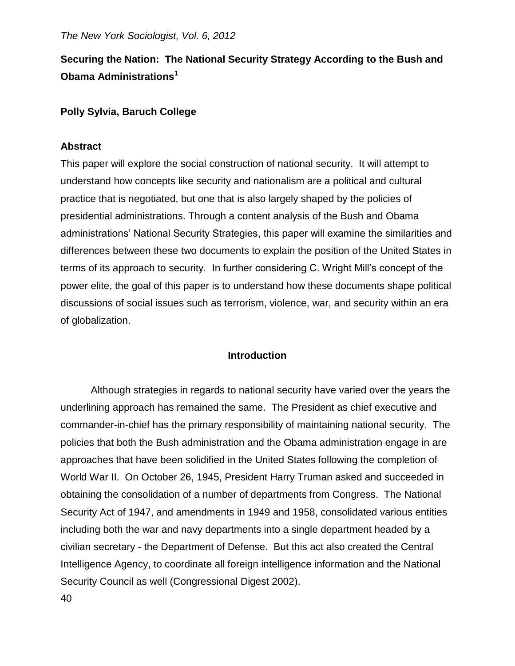# **Securing the Nation: The National Security Strategy According to the Bush and Obama Administrations<sup>1</sup>**

# **Polly Sylvia, Baruch College**

# **Abstract**

This paper will explore the social construction of national security. It will attempt to understand how concepts like security and nationalism are a political and cultural practice that is negotiated, but one that is also largely shaped by the policies of presidential administrations. Through a content analysis of the Bush and Obama administrations' National Security Strategies, this paper will examine the similarities and differences between these two documents to explain the position of the United States in terms of its approach to security*.* In further considering C. Wright Mill's concept of the power elite, the goal of this paper is to understand how these documents shape political discussions of social issues such as terrorism, violence, war, and security within an era of globalization.

# **Introduction**

Although strategies in regards to national security have varied over the years the underlining approach has remained the same. The President as chief executive and commander-in-chief has the primary responsibility of maintaining national security. The policies that both the Bush administration and the Obama administration engage in are approaches that have been solidified in the United States following the completion of World War II. On October 26, 1945, President Harry Truman asked and succeeded in obtaining the consolidation of a number of departments from Congress. The National Security Act of 1947, and amendments in 1949 and 1958, consolidated various entities including both the war and navy departments into a single department headed by a civilian secretary - the Department of Defense. But this act also created the Central Intelligence Agency, to coordinate all foreign intelligence information and the National Security Council as well (Congressional Digest 2002).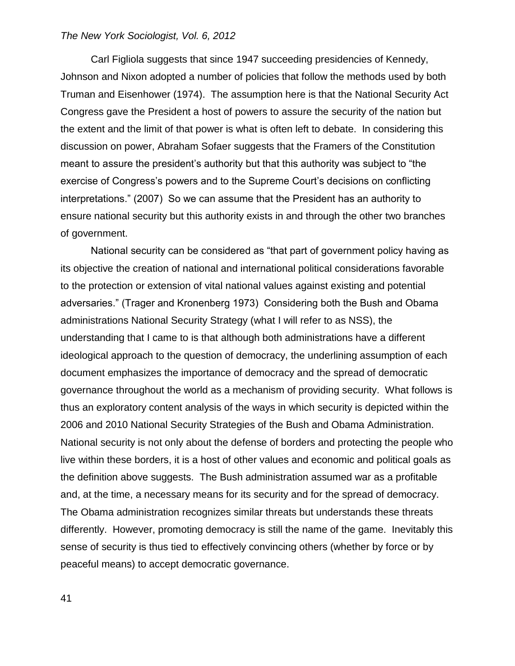Carl Figliola suggests that since 1947 succeeding presidencies of Kennedy, Johnson and Nixon adopted a number of policies that follow the methods used by both Truman and Eisenhower (1974). The assumption here is that the National Security Act Congress gave the President a host of powers to assure the security of the nation but the extent and the limit of that power is what is often left to debate. In considering this discussion on power, Abraham Sofaer suggests that the Framers of the Constitution meant to assure the president's authority but that this authority was subject to "the exercise of Congress's powers and to the Supreme Court's decisions on conflicting interpretations." (2007) So we can assume that the President has an authority to ensure national security but this authority exists in and through the other two branches of government.

National security can be considered as "that part of government policy having as its objective the creation of national and international political considerations favorable to the protection or extension of vital national values against existing and potential adversaries." (Trager and Kronenberg 1973) Considering both the Bush and Obama administrations National Security Strategy (what I will refer to as NSS), the understanding that I came to is that although both administrations have a different ideological approach to the question of democracy, the underlining assumption of each document emphasizes the importance of democracy and the spread of democratic governance throughout the world as a mechanism of providing security. What follows is thus an exploratory content analysis of the ways in which security is depicted within the 2006 and 2010 National Security Strategies of the Bush and Obama Administration. National security is not only about the defense of borders and protecting the people who live within these borders, it is a host of other values and economic and political goals as the definition above suggests. The Bush administration assumed war as a profitable and, at the time, a necessary means for its security and for the spread of democracy. The Obama administration recognizes similar threats but understands these threats differently. However, promoting democracy is still the name of the game. Inevitably this sense of security is thus tied to effectively convincing others (whether by force or by peaceful means) to accept democratic governance.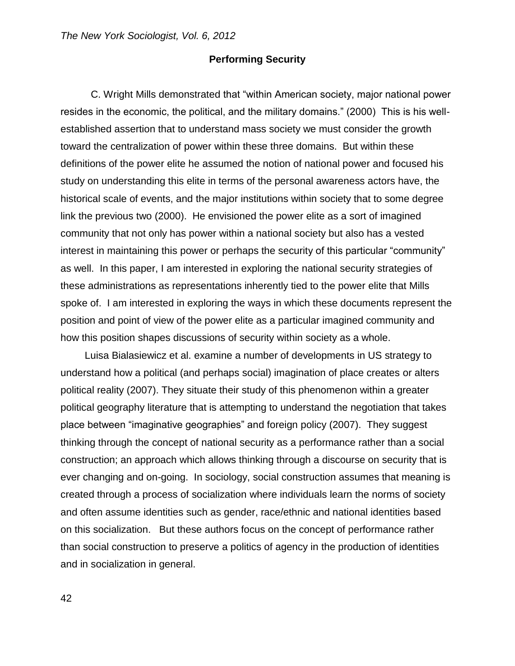#### **Performing Security**

C. Wright Mills demonstrated that "within American society, major national power resides in the economic, the political, and the military domains." (2000) This is his wellestablished assertion that to understand mass society we must consider the growth toward the centralization of power within these three domains. But within these definitions of the power elite he assumed the notion of national power and focused his study on understanding this elite in terms of the personal awareness actors have, the historical scale of events, and the major institutions within society that to some degree link the previous two (2000). He envisioned the power elite as a sort of imagined community that not only has power within a national society but also has a vested interest in maintaining this power or perhaps the security of this particular "community" as well. In this paper, I am interested in exploring the national security strategies of these administrations as representations inherently tied to the power elite that Mills spoke of. I am interested in exploring the ways in which these documents represent the position and point of view of the power elite as a particular imagined community and how this position shapes discussions of security within society as a whole.

Luisa Bialasiewicz et al. examine a number of developments in US strategy to understand how a political (and perhaps social) imagination of place creates or alters political reality (2007). They situate their study of this phenomenon within a greater political geography literature that is attempting to understand the negotiation that takes place between "imaginative geographies" and foreign policy (2007). They suggest thinking through the concept of national security as a performance rather than a social construction; an approach which allows thinking through a discourse on security that is ever changing and on-going. In sociology, social construction assumes that meaning is created through a process of socialization where individuals learn the norms of society and often assume identities such as gender, race/ethnic and national identities based on this socialization. But these authors focus on the concept of performance rather than social construction to preserve a politics of agency in the production of identities and in socialization in general.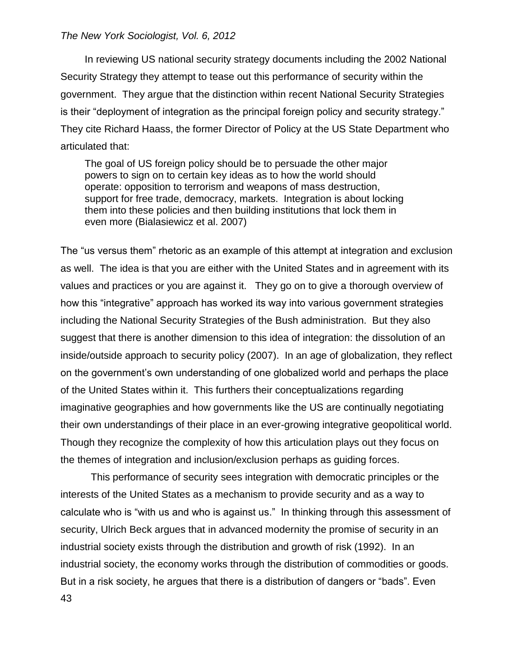In reviewing US national security strategy documents including the 2002 National Security Strategy they attempt to tease out this performance of security within the government. They argue that the distinction within recent National Security Strategies is their "deployment of integration as the principal foreign policy and security strategy." They cite Richard Haass, the former Director of Policy at the US State Department who articulated that:

The goal of US foreign policy should be to persuade the other major powers to sign on to certain key ideas as to how the world should operate: opposition to terrorism and weapons of mass destruction, support for free trade, democracy, markets. Integration is about locking them into these policies and then building institutions that lock them in even more (Bialasiewicz et al. 2007)

The "us versus them" rhetoric as an example of this attempt at integration and exclusion as well. The idea is that you are either with the United States and in agreement with its values and practices or you are against it. They go on to give a thorough overview of how this "integrative" approach has worked its way into various government strategies including the National Security Strategies of the Bush administration. But they also suggest that there is another dimension to this idea of integration: the dissolution of an inside/outside approach to security policy (2007). In an age of globalization, they reflect on the government's own understanding of one globalized world and perhaps the place of the United States within it. This furthers their conceptualizations regarding imaginative geographies and how governments like the US are continually negotiating their own understandings of their place in an ever-growing integrative geopolitical world. Though they recognize the complexity of how this articulation plays out they focus on the themes of integration and inclusion/exclusion perhaps as guiding forces.

43 This performance of security sees integration with democratic principles or the interests of the United States as a mechanism to provide security and as a way to calculate who is "with us and who is against us." In thinking through this assessment of security, Ulrich Beck argues that in advanced modernity the promise of security in an industrial society exists through the distribution and growth of risk (1992). In an industrial society, the economy works through the distribution of commodities or goods. But in a risk society, he argues that there is a distribution of dangers or "bads". Even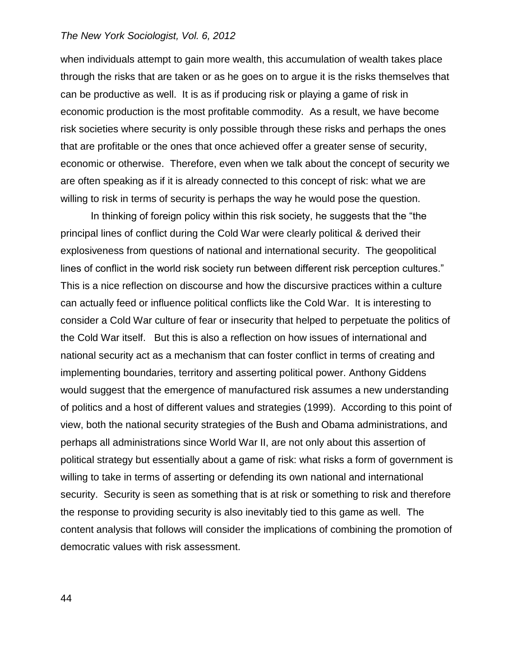when individuals attempt to gain more wealth, this accumulation of wealth takes place through the risks that are taken or as he goes on to argue it is the risks themselves that can be productive as well. It is as if producing risk or playing a game of risk in economic production is the most profitable commodity. As a result, we have become risk societies where security is only possible through these risks and perhaps the ones that are profitable or the ones that once achieved offer a greater sense of security, economic or otherwise. Therefore, even when we talk about the concept of security we are often speaking as if it is already connected to this concept of risk: what we are willing to risk in terms of security is perhaps the way he would pose the question.

In thinking of foreign policy within this risk society, he suggests that the "the principal lines of conflict during the Cold War were clearly political & derived their explosiveness from questions of national and international security. The geopolitical lines of conflict in the world risk society run between different risk perception cultures." This is a nice reflection on discourse and how the discursive practices within a culture can actually feed or influence political conflicts like the Cold War. It is interesting to consider a Cold War culture of fear or insecurity that helped to perpetuate the politics of the Cold War itself. But this is also a reflection on how issues of international and national security act as a mechanism that can foster conflict in terms of creating and implementing boundaries, territory and asserting political power. Anthony Giddens would suggest that the emergence of manufactured risk assumes a new understanding of politics and a host of different values and strategies (1999). According to this point of view, both the national security strategies of the Bush and Obama administrations, and perhaps all administrations since World War II, are not only about this assertion of political strategy but essentially about a game of risk: what risks a form of government is willing to take in terms of asserting or defending its own national and international security. Security is seen as something that is at risk or something to risk and therefore the response to providing security is also inevitably tied to this game as well. The content analysis that follows will consider the implications of combining the promotion of democratic values with risk assessment.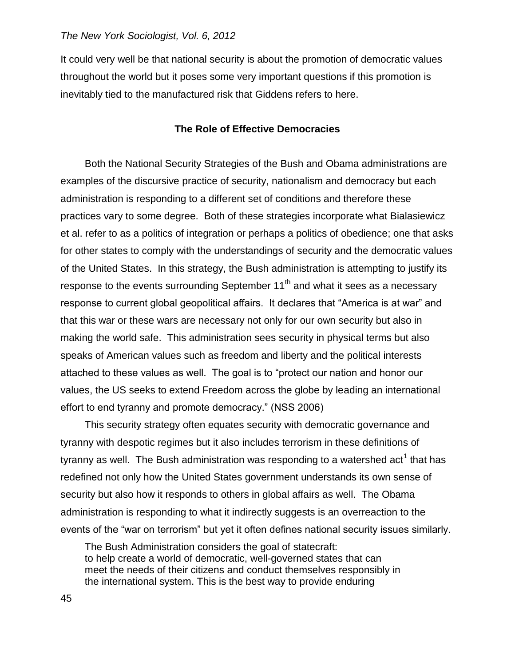It could very well be that national security is about the promotion of democratic values throughout the world but it poses some very important questions if this promotion is inevitably tied to the manufactured risk that Giddens refers to here.

#### **The Role of Effective Democracies**

Both the National Security Strategies of the Bush and Obama administrations are examples of the discursive practice of security, nationalism and democracy but each administration is responding to a different set of conditions and therefore these practices vary to some degree. Both of these strategies incorporate what Bialasiewicz et al. refer to as a politics of integration or perhaps a politics of obedience; one that asks for other states to comply with the understandings of security and the democratic values of the United States. In this strategy, the Bush administration is attempting to justify its response to the events surrounding September  $11<sup>th</sup>$  and what it sees as a necessary response to current global geopolitical affairs. It declares that "America is at war" and that this war or these wars are necessary not only for our own security but also in making the world safe. This administration sees security in physical terms but also speaks of American values such as freedom and liberty and the political interests attached to these values as well. The goal is to "protect our nation and honor our values, the US seeks to extend Freedom across the globe by leading an international effort to end tyranny and promote democracy." (NSS 2006)

This security strategy often equates security with democratic governance and tyranny with despotic regimes but it also includes terrorism in these definitions of tyranny as well. The Bush administration was responding to a watershed act<sup>1</sup> that has redefined not only how the United States government understands its own sense of security but also how it responds to others in global affairs as well. The Obama administration is responding to what it indirectly suggests is an overreaction to the events of the "war on terrorism" but yet it often defines national security issues similarly.

The Bush Administration considers the goal of statecraft: to help create a world of democratic, well-governed states that can meet the needs of their citizens and conduct themselves responsibly in the international system. This is the best way to provide enduring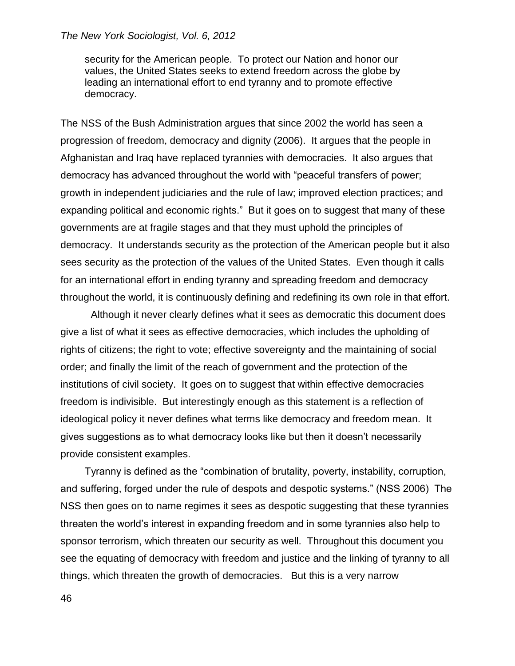security for the American people. To protect our Nation and honor our values, the United States seeks to extend freedom across the globe by leading an international effort to end tyranny and to promote effective democracy.

The NSS of the Bush Administration argues that since 2002 the world has seen a progression of freedom, democracy and dignity (2006). It argues that the people in Afghanistan and Iraq have replaced tyrannies with democracies. It also argues that democracy has advanced throughout the world with "peaceful transfers of power; growth in independent judiciaries and the rule of law; improved election practices; and expanding political and economic rights." But it goes on to suggest that many of these governments are at fragile stages and that they must uphold the principles of democracy. It understands security as the protection of the American people but it also sees security as the protection of the values of the United States. Even though it calls for an international effort in ending tyranny and spreading freedom and democracy throughout the world, it is continuously defining and redefining its own role in that effort.

Although it never clearly defines what it sees as democratic this document does give a list of what it sees as effective democracies, which includes the upholding of rights of citizens; the right to vote; effective sovereignty and the maintaining of social order; and finally the limit of the reach of government and the protection of the institutions of civil society. It goes on to suggest that within effective democracies freedom is indivisible. But interestingly enough as this statement is a reflection of ideological policy it never defines what terms like democracy and freedom mean. It gives suggestions as to what democracy looks like but then it doesn't necessarily provide consistent examples.

Tyranny is defined as the "combination of brutality, poverty, instability, corruption, and suffering, forged under the rule of despots and despotic systems." (NSS 2006) The NSS then goes on to name regimes it sees as despotic suggesting that these tyrannies threaten the world's interest in expanding freedom and in some tyrannies also help to sponsor terrorism, which threaten our security as well. Throughout this document you see the equating of democracy with freedom and justice and the linking of tyranny to all things, which threaten the growth of democracies. But this is a very narrow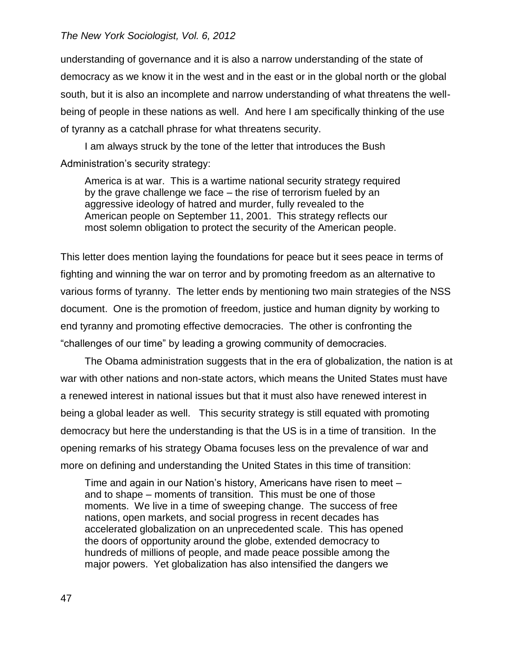understanding of governance and it is also a narrow understanding of the state of democracy as we know it in the west and in the east or in the global north or the global south, but it is also an incomplete and narrow understanding of what threatens the wellbeing of people in these nations as well. And here I am specifically thinking of the use of tyranny as a catchall phrase for what threatens security.

I am always struck by the tone of the letter that introduces the Bush Administration's security strategy:

America is at war. This is a wartime national security strategy required by the grave challenge we face – the rise of terrorism fueled by an aggressive ideology of hatred and murder, fully revealed to the American people on September 11, 2001. This strategy reflects our most solemn obligation to protect the security of the American people.

This letter does mention laying the foundations for peace but it sees peace in terms of fighting and winning the war on terror and by promoting freedom as an alternative to various forms of tyranny. The letter ends by mentioning two main strategies of the NSS document. One is the promotion of freedom, justice and human dignity by working to end tyranny and promoting effective democracies. The other is confronting the "challenges of our time" by leading a growing community of democracies.

The Obama administration suggests that in the era of globalization, the nation is at war with other nations and non-state actors, which means the United States must have a renewed interest in national issues but that it must also have renewed interest in being a global leader as well. This security strategy is still equated with promoting democracy but here the understanding is that the US is in a time of transition. In the opening remarks of his strategy Obama focuses less on the prevalence of war and more on defining and understanding the United States in this time of transition:

Time and again in our Nation's history, Americans have risen to meet – and to shape – moments of transition. This must be one of those moments. We live in a time of sweeping change. The success of free nations, open markets, and social progress in recent decades has accelerated globalization on an unprecedented scale. This has opened the doors of opportunity around the globe, extended democracy to hundreds of millions of people, and made peace possible among the major powers. Yet globalization has also intensified the dangers we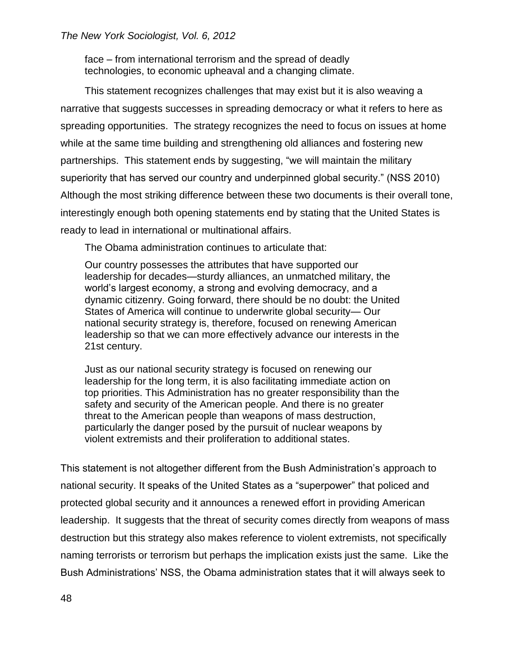face – from international terrorism and the spread of deadly technologies, to economic upheaval and a changing climate.

This statement recognizes challenges that may exist but it is also weaving a narrative that suggests successes in spreading democracy or what it refers to here as spreading opportunities. The strategy recognizes the need to focus on issues at home while at the same time building and strengthening old alliances and fostering new partnerships. This statement ends by suggesting, "we will maintain the military superiority that has served our country and underpinned global security." (NSS 2010) Although the most striking difference between these two documents is their overall tone, interestingly enough both opening statements end by stating that the United States is ready to lead in international or multinational affairs.

The Obama administration continues to articulate that:

Our country possesses the attributes that have supported our leadership for decades—sturdy alliances, an unmatched military, the world's largest economy, a strong and evolving democracy, and a dynamic citizenry. Going forward, there should be no doubt: the United States of America will continue to underwrite global security— Our national security strategy is, therefore, focused on renewing American leadership so that we can more effectively advance our interests in the 21st century.

Just as our national security strategy is focused on renewing our leadership for the long term, it is also facilitating immediate action on top priorities. This Administration has no greater responsibility than the safety and security of the American people. And there is no greater threat to the American people than weapons of mass destruction, particularly the danger posed by the pursuit of nuclear weapons by violent extremists and their proliferation to additional states.

This statement is not altogether different from the Bush Administration's approach to national security. It speaks of the United States as a "superpower" that policed and protected global security and it announces a renewed effort in providing American leadership. It suggests that the threat of security comes directly from weapons of mass destruction but this strategy also makes reference to violent extremists, not specifically naming terrorists or terrorism but perhaps the implication exists just the same. Like the Bush Administrations' NSS, the Obama administration states that it will always seek to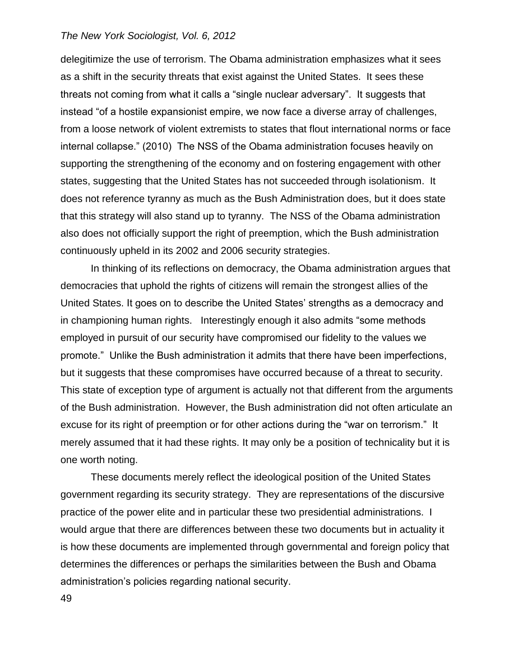delegitimize the use of terrorism. The Obama administration emphasizes what it sees as a shift in the security threats that exist against the United States. It sees these threats not coming from what it calls a "single nuclear adversary". It suggests that instead "of a hostile expansionist empire, we now face a diverse array of challenges, from a loose network of violent extremists to states that flout international norms or face internal collapse." (2010) The NSS of the Obama administration focuses heavily on supporting the strengthening of the economy and on fostering engagement with other states, suggesting that the United States has not succeeded through isolationism. It does not reference tyranny as much as the Bush Administration does, but it does state that this strategy will also stand up to tyranny. The NSS of the Obama administration also does not officially support the right of preemption, which the Bush administration continuously upheld in its 2002 and 2006 security strategies.

In thinking of its reflections on democracy, the Obama administration argues that democracies that uphold the rights of citizens will remain the strongest allies of the United States. It goes on to describe the United States' strengths as a democracy and in championing human rights. Interestingly enough it also admits "some methods employed in pursuit of our security have compromised our fidelity to the values we promote." Unlike the Bush administration it admits that there have been imperfections, but it suggests that these compromises have occurred because of a threat to security. This state of exception type of argument is actually not that different from the arguments of the Bush administration. However, the Bush administration did not often articulate an excuse for its right of preemption or for other actions during the "war on terrorism." It merely assumed that it had these rights. It may only be a position of technicality but it is one worth noting.

These documents merely reflect the ideological position of the United States government regarding its security strategy. They are representations of the discursive practice of the power elite and in particular these two presidential administrations. I would argue that there are differences between these two documents but in actuality it is how these documents are implemented through governmental and foreign policy that determines the differences or perhaps the similarities between the Bush and Obama administration's policies regarding national security.

49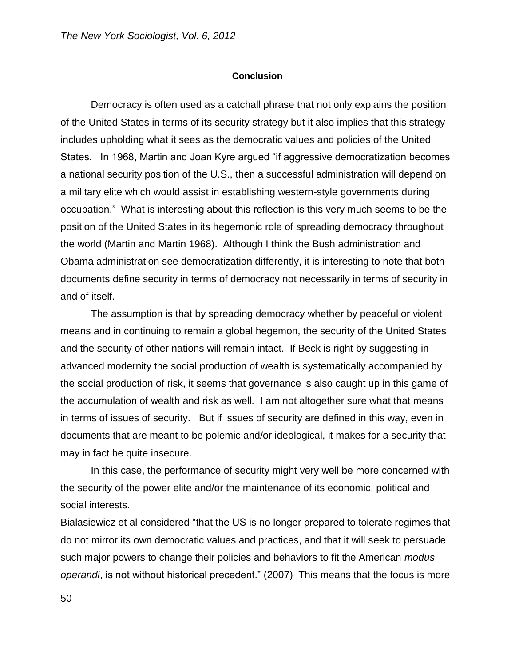#### **Conclusion**

Democracy is often used as a catchall phrase that not only explains the position of the United States in terms of its security strategy but it also implies that this strategy includes upholding what it sees as the democratic values and policies of the United States. In 1968, Martin and Joan Kyre argued "if aggressive democratization becomes a national security position of the U.S., then a successful administration will depend on a military elite which would assist in establishing western-style governments during occupation." What is interesting about this reflection is this very much seems to be the position of the United States in its hegemonic role of spreading democracy throughout the world (Martin and Martin 1968). Although I think the Bush administration and Obama administration see democratization differently, it is interesting to note that both documents define security in terms of democracy not necessarily in terms of security in and of itself.

The assumption is that by spreading democracy whether by peaceful or violent means and in continuing to remain a global hegemon, the security of the United States and the security of other nations will remain intact. If Beck is right by suggesting in advanced modernity the social production of wealth is systematically accompanied by the social production of risk, it seems that governance is also caught up in this game of the accumulation of wealth and risk as well. I am not altogether sure what that means in terms of issues of security. But if issues of security are defined in this way, even in documents that are meant to be polemic and/or ideological, it makes for a security that may in fact be quite insecure.

In this case, the performance of security might very well be more concerned with the security of the power elite and/or the maintenance of its economic, political and social interests.

Bialasiewicz et al considered "that the US is no longer prepared to tolerate regimes that do not mirror its own democratic values and practices, and that it will seek to persuade such major powers to change their policies and behaviors to fit the American *modus operandi*, is not without historical precedent." (2007) This means that the focus is more

50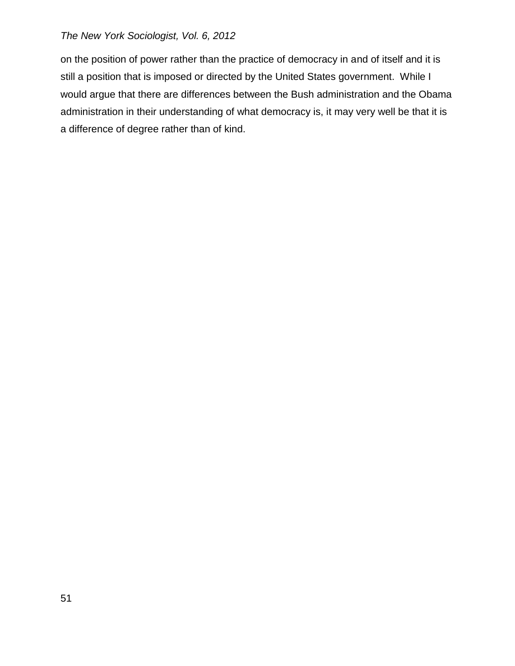on the position of power rather than the practice of democracy in and of itself and it is still a position that is imposed or directed by the United States government. While I would argue that there are differences between the Bush administration and the Obama administration in their understanding of what democracy is, it may very well be that it is a difference of degree rather than of kind.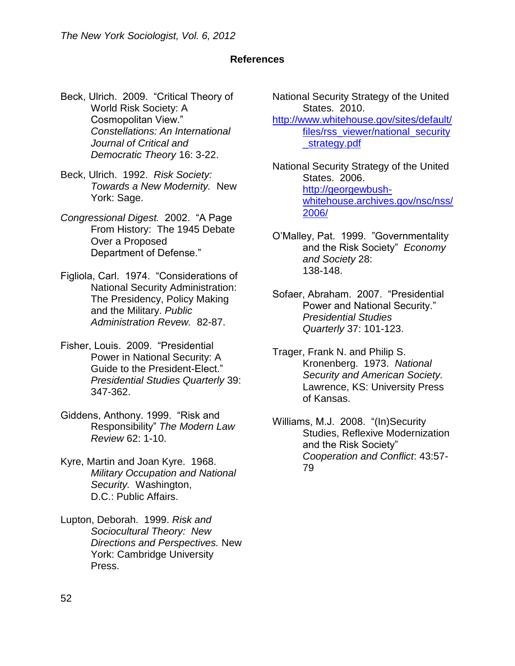# **References**

- Beck, Ulrich. 2009. "Critical Theory of World Risk Society: A Cosmopolitan View." *Constellations: An International Journal of Critical and Democratic Theory* 16: 3-22.
- Beck, Ulrich. 1992. *Risk Society: Towards a New Modernity.* New York: Sage.
- *Congressional Digest.* 2002. "A Page From History: The 1945 Debate Over a Proposed Department of Defense."
- Figliola, Carl. 1974. "Considerations of National Security Administration: The Presidency, Policy Making and the Military. *Public Administration Revew.* 82-87.
- Fisher, Louis. 2009. "Presidential Power in National Security: A Guide to the President-Elect." *Presidential Studies Quarterly* 39: 347-362.
- Giddens, Anthony. 1999. "Risk and Responsibility" *The Modern Law Review* 62: 1-10.
- Kyre, Martin and Joan Kyre. 1968. *Military Occupation and National Security.* Washington, D.C.: Public Affairs.
- Lupton, Deborah. 1999. *Risk and Sociocultural Theory: New Directions and Perspectives.* New York: Cambridge University Press.

National Security Strategy of the United States. 2010. [http://www.whitehouse.gov/sites/default/](http://www.whitehouse.gov/sites/default/files/rss_viewer/national_security_strategy.pdf) [files/rss\\_viewer/national\\_security](http://www.whitehouse.gov/sites/default/files/rss_viewer/national_security_strategy.pdf) [\\_strategy.pdf](http://www.whitehouse.gov/sites/default/files/rss_viewer/national_security_strategy.pdf)

National Security Strategy of the United States. 2006. http://georgewbushwhitehouse.archives.gov/nsc/nss/ 2006/

O'Malley, Pat. 1999. "Governmentality and the Risk Society" *Economy and Society* 28: 138-148.

- Sofaer, Abraham. 2007. "Presidential Power and National Security." *Presidential Studies Quarterly* 37: 101-123.
- Trager, Frank N. and Philip S. Kronenberg. 1973. *National Security and American Society.*  Lawrence, KS: University Press of Kansas.
- Williams, M.J. 2008. "(In)Security Studies, Reflexive Modernization and the Risk Society" *Cooperation and Conflict*: 43:57- 79